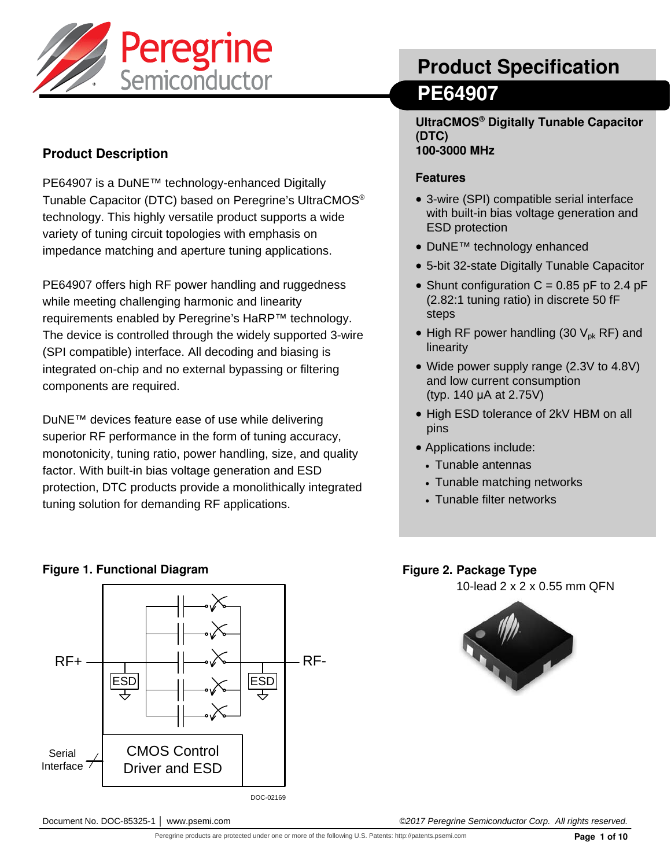

## **Product Description**

PE64907 is a DuNE™ technology-enhanced Digitally Tunable Capacitor (DTC) based on Peregrine's UltraCMOS® technology. This highly versatile product supports a wide variety of tuning circuit topologies with emphasis on impedance matching and aperture tuning applications.

PE64907 offers high RF power handling and ruggedness while meeting challenging harmonic and linearity requirements enabled by Peregrine's HaRP™ technology. The device is controlled through the widely supported 3-wire (SPI compatible) interface. All decoding and biasing is integrated on-chip and no external bypassing or filtering components are required.

DuNE™ devices feature ease of use while delivering superior RF performance in the form of tuning accuracy, monotonicity, tuning ratio, power handling, size, and quality factor. With built-in bias voltage generation and ESD protection, DTC products provide a monolithically integrated tuning solution for demanding RF applications.

# **Product Specification PE64907**

**UltraCMOS® Digitally Tunable Capacitor (DTC) 100-3000 MHz**

#### **Features**

- 3-wire (SPI) compatible serial interface with built-in bias voltage generation and ESD protection
- DuNE™ technology enhanced
- 5-bit 32-state Digitally Tunable Capacitor
- Shunt configuration  $C = 0.85$  pF to 2.4 pF (2.82:1 tuning ratio) in discrete 50 fF steps
- High RF power handling (30  $V_{\text{pk}}$  RF) and linearity
- Wide power supply range (2.3V to 4.8V) and low current consumption (typ. 140 μA at 2.75V)
- High ESD tolerance of 2kV HBM on all pins
- Applications include:
	- Tunable antennas
	- Tunable matching networks
	- Tunable filter networks

#### **Figure 1. Functional Diagram Algebra 2. Package Type in the Set of the Set of Type Algebra 2. Package Type**

10-lead 2 x 2 x 0.55 mm QFN





DOC-02169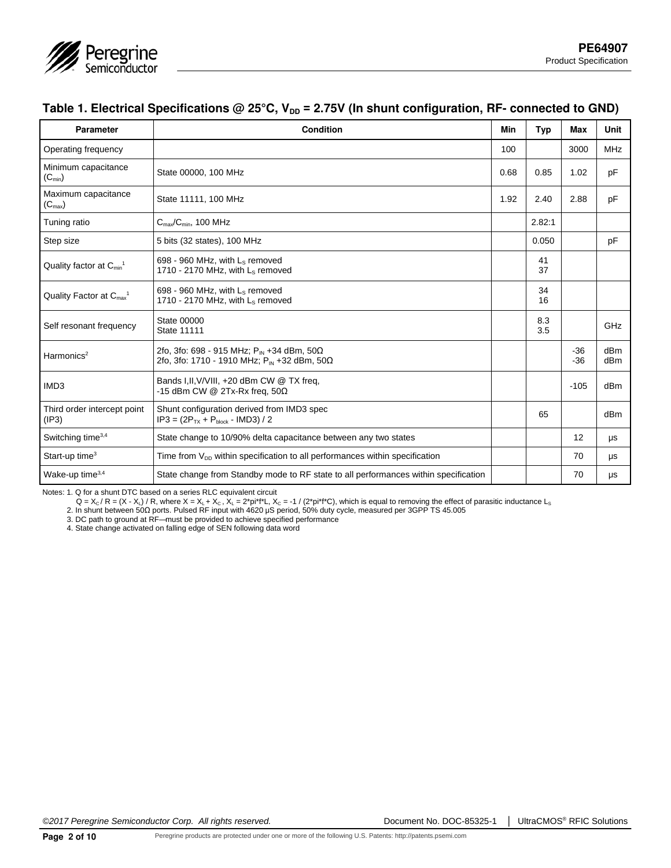

### Table 1. Electrical Specifications @ 25°C, V<sub>DD</sub> = 2.75V (In shunt configuration, RF- connected to GND)

| <b>Parameter</b>                                | Condition                                                                                                         | Min  | Typ        | Max            | Unit       |
|-------------------------------------------------|-------------------------------------------------------------------------------------------------------------------|------|------------|----------------|------------|
| <b>Operating frequency</b>                      |                                                                                                                   | 100  |            | 3000           | <b>MHz</b> |
| Minimum capacitance<br>$(C_{\min})$             | State 00000, 100 MHz                                                                                              | 0.68 | 0.85       | 1.02           | pF         |
| Maximum capacitance<br>$(C_{\text{max}})$       | State 11111, 100 MHz                                                                                              | 1.92 | 2.40       | 2.88           | pF         |
| Tuning ratio                                    | $C_{\text{max}}/C_{\text{min}}$ , 100 MHz                                                                         |      | 2.82:1     |                |            |
| Step size                                       | 5 bits (32 states), 100 MHz                                                                                       |      | 0.050      |                | pF         |
| Quality factor at $C_{min}$ <sup>1</sup>        | 698 - 960 MHz, with $L_s$ removed<br>1710 - 2170 MHz, with $L_s$ removed                                          |      | 41<br>37   |                |            |
| Quality Factor at $C_{\text{max}}$ <sup>1</sup> | 698 - 960 MHz, with L <sub>s</sub> removed<br>1710 - 2170 MHz, with $L_s$ removed                                 |      | 34<br>16   |                |            |
| Self resonant frequency                         | <b>State 00000</b><br><b>State 11111</b>                                                                          |      | 8.3<br>3.5 |                | GHz        |
| Harmonics <sup>2</sup>                          | 2fo, 3fo: 698 - 915 MHz; $P_{IN}$ +34 dBm, 50 $\Omega$<br>2fo, 3fo: 1710 - 1910 MHz; P <sub>IN</sub> +32 dBm, 50Ω |      |            | $-36$<br>$-36$ | dBm<br>dBm |
| IMD <sub>3</sub>                                | Bands I, II, V/VIII, +20 dBm CW @ TX freq,<br>-15 dBm CW @ 2Tx-Rx freq, $50\Omega$                                |      |            | $-105$         | dBm        |
| Third order intercept point<br>(IP3)            | Shunt configuration derived from IMD3 spec<br>$IP3 = (2P_{TX} + P_{block} - IMD3)/2$                              |      | 65         |                | dBm        |
| Switching time <sup>3,4</sup>                   | State change to 10/90% delta capacitance between any two states                                                   |      |            | 12             | μs         |
| Start-up time $3$                               | Time from $V_{DD}$ within specification to all performances within specification                                  |      |            | 70             | μs         |
| Wake-up time <sup>3,4</sup>                     | State change from Standby mode to RF state to all performances within specification                               |      |            | 70             | μs         |

Notes: 1. Q for a shunt DTC based on a series RLC equivalent circuit

Q = X<sub>c</sub> / R = (X - X<sub>L</sub>) / R, where X = X<sub>L</sub> + X<sub>c</sub> , X<sub>L</sub> = 2\*pi\*f\*L, X<sub>c</sub> = -1 / (2\*pi\*f\*C), which is equal to removing the effect of parasitic inductance L<sub>s</sub><br>2. In shunt between 50Ω ports. Pulsed RF input with 4620

3. DC path to ground at RF— must be provided to achieve specified performance

4. State change activated on falling edge of SEN following data word

*©2017 Peregrine Semiconductor Corp. All rights reserved.* Document No. DOC-85325-1 │ UltraCMOS® RFIC Solutions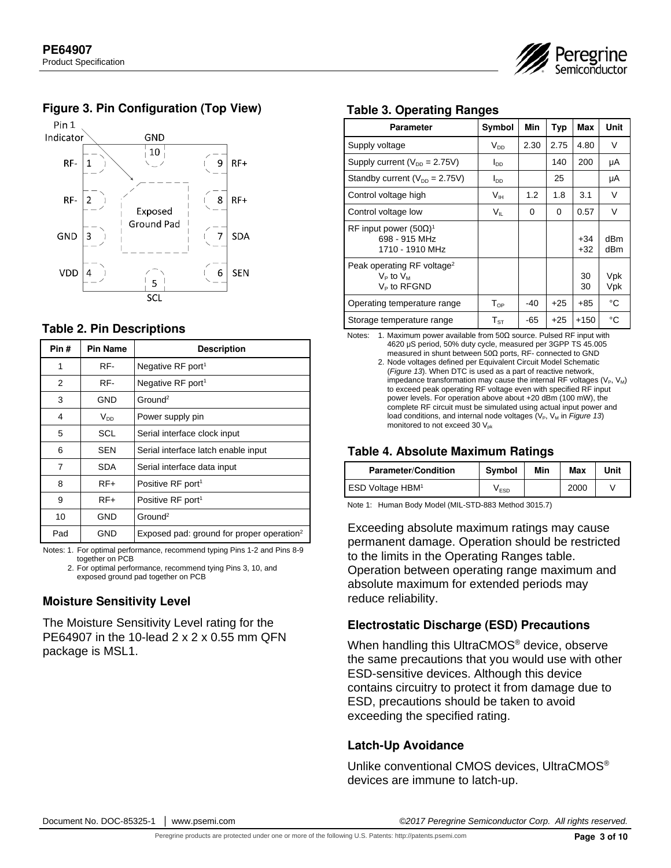

#### **Figure 3. Pin Configuration (Top View)**



#### **Table 2. Pin Descriptions**

| Pin# | <b>Pin Name</b> | <b>Description</b>                                    |  |
|------|-----------------|-------------------------------------------------------|--|
| 1    | RF-             | Negative RF port <sup>1</sup>                         |  |
| 2    | RF-             | Negative RF port <sup>1</sup>                         |  |
| 3    | GND             | Ground <sup>2</sup>                                   |  |
| 4    | $V_{DD}$        | Power supply pin                                      |  |
| 5    | SCL             | Serial interface clock input                          |  |
| 6    | <b>SEN</b>      | Serial interface latch enable input                   |  |
| 7    | <b>SDA</b>      | Serial interface data input                           |  |
| 8    | $RF+$           | Positive RF port <sup>1</sup>                         |  |
| 9    | $RF+$           | Positive RF port <sup>1</sup>                         |  |
| 10   | GND             | Ground <sup>2</sup>                                   |  |
| Pad  | GND             | Exposed pad: ground for proper operation <sup>2</sup> |  |

Notes: 1. For optimal performance, recommend typing Pins 1-2 and Pins 8-9 together on PCB

2. For optimal performance, recommend tying Pins 3, 10, and exposed ground pad together on PCB

#### **Moisture Sensitivity Level**

The Moisture Sensitivity Level rating for the PE64907 in the 10-lead 2 x 2 x 0.55 mm QFN package is MSL1.

#### **Table 3. Operating Ranges**

| Parameter                                                                  | Symbol                | Min  | <b>Typ</b> | <b>Max</b>     | Unit       |
|----------------------------------------------------------------------------|-----------------------|------|------------|----------------|------------|
| Supply voltage                                                             | $V_{DD}$              | 2.30 | 2.75       | 4.80           | V          |
| Supply current ( $V_{DD}$ = 2.75V)                                         | <b>I<sub>DD</sub></b> |      | 140        | 200            | μA         |
| Standby current ( $V_{DD} = 2.75V$ )                                       | <b>I<sub>DD</sub></b> |      | 25         |                | μA         |
| Control voltage high                                                       | V <sub>IH</sub>       | 1.2  | 1.8        | 3.1            | V          |
| Control voltage low                                                        | Vır.                  | 0    | 0          | 0.57           | v          |
| RF input power $(50\Omega)^1$<br>698 - 915 MHz<br>1710 - 1910 MHz          |                       |      |            | $+34$<br>$+32$ | dBm<br>dBm |
| Peak operating RF voltage <sup>2</sup><br>$V_P$ to $V_M$<br>$V_P$ to RFGND |                       |      |            | 30<br>30       | Vpk<br>Vpk |
| Operating temperature range                                                | $T_{OP}$              | -40  | $+25$      | $+85$          | °C         |
| Storage temperature range                                                  | ${\sf T}_{\rm ST}$    | -65  | $+25$      | $+150$         | °C         |

Notes: 1. Maximum power available from 50Ω source. Pulsed RF input with 4620 μS period, 50% duty cycle, measured per 3GPP TS 45.005 measured in shunt between 50Ω ports, RF- connected to GND

 2. Node voltages defined per Equivalent Circuit Model Schematic (*Figure 13*). When DTC is used as a part of reactive network, impedance transformation may cause the internal RF voltages ( $V_P$ ,  $V_M$ ) to exceed peak operating RF voltage even with specified RF input power levels. For operation above about +20 dBm (100 mW), the complete RF circuit must be simulated using actual input power and load conditions, and internal node voltages (V<sub>P</sub>, V<sub>M</sub> in *Figure 13*) monitored to not exceed 30  $V_{nk}$ 

#### **Table 4. Absolute Maximum Ratings**

| <b>Parameter/Condition</b>   | <b>Symbol</b> | Min | Max  | Unit |
|------------------------------|---------------|-----|------|------|
| ESD Voltage HBM <sup>1</sup> | V ESD         |     | 2000 |      |

Note 1: Human Body Model (MIL-STD-883 Method 3015.7)

Exceeding absolute maximum ratings may cause permanent damage. Operation should be restricted to the limits in the Operating Ranges table. Operation between operating range maximum and absolute maximum for extended periods may reduce reliability.

#### **Electrostatic Discharge (ESD) Precautions**

When handling this UltraCMOS<sup>®</sup> device, observe the same precautions that you would use with other ESD-sensitive devices. Although this device contains circuitry to protect it from damage due to ESD, precautions should be taken to avoid exceeding the specified rating.

#### **Latch-Up Avoidance**

Unlike conventional CMOS devices, UltraCMOS® devices are immune to latch-up.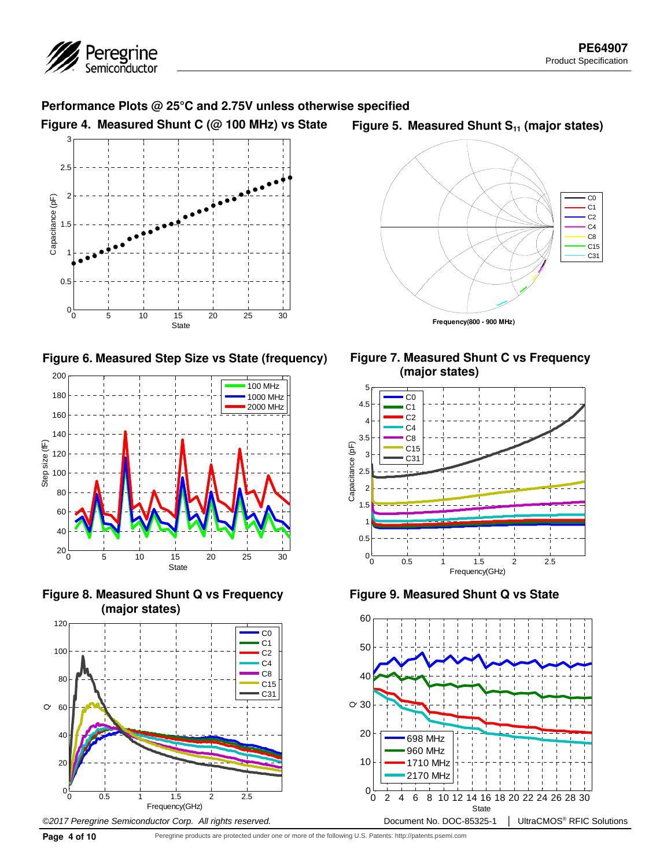

#### **Performance Plots @ 25°C and 2.75V unless otherwise specified**

**Figure 4. Measured Shunt C (@ 100 MHz) vs State** 



**Figure 6. Measured Step Size vs State (frequency)** 



**Figure 8. Measured Shunt Q vs Frequency (major states)**



#### Figure 5. Measured Shunt S<sub>11</sub> (major states)







**Figure 9. Measured Shunt Q vs State**

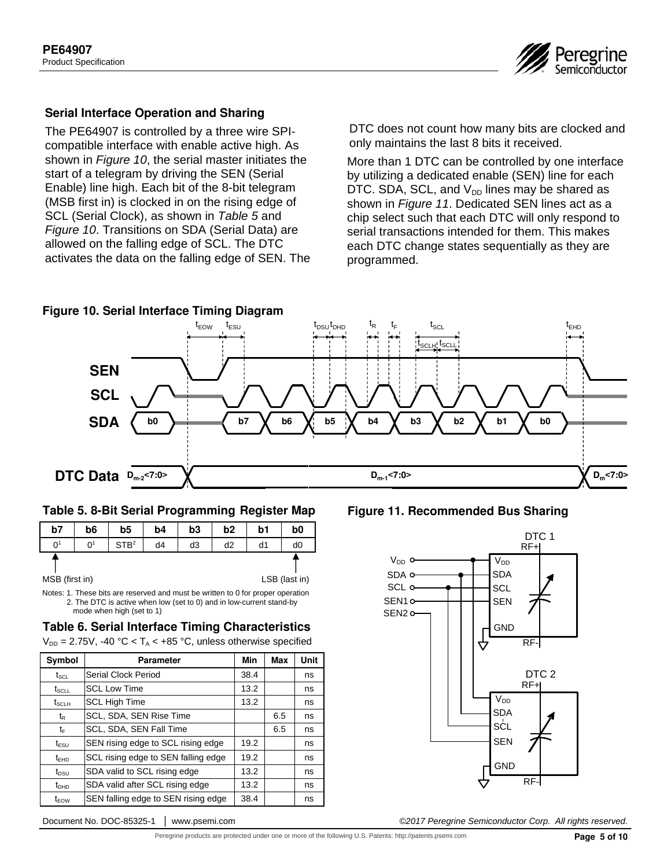

#### **Serial Interface Operation and Sharing**

The PE64907 is controlled by a three wire SPIcompatible interface with enable active high. As shown in *Figure 10*, the serial master initiates the start of a telegram by driving the SEN (Serial Enable) line high. Each bit of the 8-bit telegram (MSB first in) is clocked in on the rising edge of SCL (Serial Clock), as shown in *Table 5* and *Figure 10*. Transitions on SDA (Serial Data) are allowed on the falling edge of SCL. The DTC activates the data on the falling edge of SEN. The DTC does not count how many bits are clocked and only maintains the last 8 bits it received.

More than 1 DTC can be controlled by one interface by utilizing a dedicated enable (SEN) line for each DTC. SDA, SCL, and  $V_{DD}$  lines may be shared as shown in *Figure 11*. Dedicated SEN lines act as a chip select such that each DTC will only respond to serial transactions intended for them. This makes each DTC change states sequentially as they are programmed.



| b7             | b <sub>6</sub> | b <sub>5</sub>   | b <sub>4</sub> | b3 | b <sub>2</sub> | b1 | b0             |
|----------------|----------------|------------------|----------------|----|----------------|----|----------------|
| 0 <sup>1</sup> | 0 <sup>1</sup> | STB <sup>2</sup> | d4             | d3 | d2             | d1 | d <sub>0</sub> |
| MSB (first in) |                |                  |                |    |                |    | LSB (last in)  |

**Table 5. 8-Bit Serial Programming Register Map Figure 11. Recommended Bus Sharing**

Notes: 1. These bits are reserved and must be written to 0 for proper operation 2. The DTC is active when low (set to 0) and in low-current stand-by mode when high (set to 1)

#### **Table 6. Serial Interface Timing Characteristics**

 $V_{DD} = 2.75V$ , -40 °C < T<sub>A</sub> < +85 °C, unless otherwise specified

| Symbol                        | <b>Parameter</b>                    | Min  | Max | <b>Unit</b> |
|-------------------------------|-------------------------------------|------|-----|-------------|
| $\mathsf{t}_{\texttt{SCL}}$   | Serial Clock Period                 | 38.4 |     | ns          |
| $t_{SCLL}$                    | <b>SCL Low Time</b>                 | 13.2 |     | ns          |
| $t_{\scriptstyle\text{SCLH}}$ | <b>SCL High Time</b>                | 13.2 |     | ns          |
| t <sub>R</sub>                | SCL, SDA, SEN Rise Time             |      | 6.5 | ns          |
| tF                            | SCL, SDA, SEN Fall Time             |      | 6.5 | ns          |
| $t_{\text{ESU}}$              | SEN rising edge to SCL rising edge  | 19.2 |     | ns          |
| $t_{\text{FHD}}$              | SCL rising edge to SEN falling edge | 19.2 |     | ns          |
| $t_{DSU}$                     | SDA valid to SCL rising edge        | 13.2 |     | ns          |
| $t_{\text{DHD}}$              | SDA valid after SCL rising edge     | 13.2 |     | ns          |
| $t_{EOW}$                     | SEN falling edge to SEN rising edge | 38.4 |     | ns          |



Document No. DOC-85325-1 │ www.psemi.com *©2017 Peregrine Semiconductor Corp. All rights reserved.* 

Peregrine products are protected under one or more of the following U.S. Patents: http://patents.psemi.com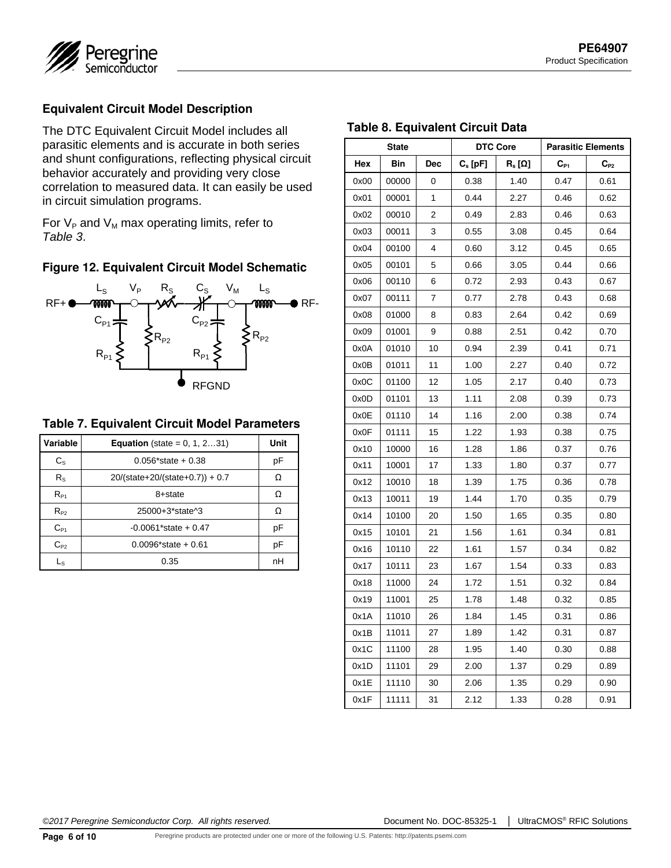



#### **Equivalent Circuit Model Description**

The DTC Equivalent Circuit Model includes all parasitic elements and is accurate in both series and shunt configurations, reflecting physical circuit behavior accurately and providing very close correlation to measured data. It can easily be used in circuit simulation programs.

For  $V_P$  and  $V_M$  max operating limits, refer to *Table 3*.

#### **Figure 12. Equivalent Circuit Model Schematic**



#### **Table 7. Equivalent Circuit Model Parameters**

| Variable    | <b>Equation</b> (state = $0, 1, 231$ ) | Unit |
|-------------|----------------------------------------|------|
| $C_{\rm S}$ | $0.056*state + 0.38$                   | pF   |
| $R_{\rm S}$ | $20/(state+20/(state+0.7))+0.7$        |      |
| $R_{P1}$    | 8+state                                |      |
| $R_{P2}$    | 25000+3*state^3                        | Ω    |
| $C_{P1}$    | $-0.0061*state + 0.47$                 | рF   |
| $C_{P2}$    | $0.0096*state + 0.61$                  | pF   |
| Ls          | 0.35                                   | nН   |

#### **Table 8. Equivalent Circuit Data**

| <b>State</b> |       | <b>DTC Core</b> |                                                          | <b>Parasitic Elements</b>                  |          |          |
|--------------|-------|-----------------|----------------------------------------------------------|--------------------------------------------|----------|----------|
| Hex          | Bin   | <b>Dec</b>      | $\mathsf{C}_\mathrm{s}\left[\mathsf{p}\mathsf{F}\right]$ | $\mathsf{R}_\mathrm{s}\left[\Omega\right]$ | $C_{P1}$ | $C_{P2}$ |
| 0x00         | 00000 | 0               | 0.38                                                     | 1.40                                       | 0.47     | 0.61     |
| 0x01         | 00001 | 1               | 0.44                                                     | 2.27                                       | 0.46     | 0.62     |
| 0x02         | 00010 | 2               | 0.49                                                     | 2.83                                       | 0.46     | 0.63     |
| 0x03         | 00011 | 3               | 0.55                                                     | 3.08                                       | 0.45     | 0.64     |
| 0x04         | 00100 | 4               | 0.60                                                     | 3.12                                       | 0.45     | 0.65     |
| 0x05         | 00101 | 5               | 0.66                                                     | 3.05                                       | 0.44     | 0.66     |
| 0x06         | 00110 | 6               | 0.72                                                     | 2.93                                       | 0.43     | 0.67     |
| 0x07         | 00111 | 7               | 0.77                                                     | 2.78                                       | 0.43     | 0.68     |
| 0x08         | 01000 | 8               | 0.83                                                     | 2.64                                       | 0.42     | 0.69     |
| 0x09         | 01001 | 9               | 0.88                                                     | 2.51                                       | 0.42     | 0.70     |
| 0x0A         | 01010 | 10              | 0.94                                                     | 2.39                                       | 0.41     | 0.71     |
| 0x0B         | 01011 | 11              | 1.00                                                     | 2.27                                       | 0.40     | 0.72     |
| 0x0C         | 01100 | 12              | 1.05                                                     | 2.17                                       | 0.40     | 0.73     |
| 0x0D         | 01101 | 13              | 1.11                                                     | 2.08                                       | 0.39     | 0.73     |
| 0x0E         | 01110 | 14              | 1.16                                                     | 2.00                                       | 0.38     | 0.74     |
| 0x0F         | 01111 | 15              | 1.22                                                     | 1.93                                       | 0.38     | 0.75     |
| 0x10         | 10000 | 16              | 1.28                                                     | 1.86                                       | 0.37     | 0.76     |
| 0x11         | 10001 | 17              | 1.33                                                     | 1.80                                       | 0.37     | 0.77     |
| 0x12         | 10010 | 18              | 1.39                                                     | 1.75                                       | 0.36     | 0.78     |
| 0x13         | 10011 | 19              | 1.44                                                     | 1.70                                       | 0.35     | 0.79     |
| 0x14         | 10100 | 20              | 1.50                                                     | 1.65                                       | 0.35     | 0.80     |
| 0x15         | 10101 | 21              | 1.56                                                     | 1.61                                       | 0.34     | 0.81     |
| 0x16         | 10110 | 22              | 1.61                                                     | 1.57                                       | 0.34     | 0.82     |
| 0x17         | 10111 | 23              | 1.67                                                     | 1.54                                       | 0.33     | 0.83     |
| 0x18         | 11000 | 24              | 1.72                                                     | 1.51                                       | 0.32     | 0.84     |
| 0x19         | 11001 | 25              | 1.78                                                     | 1.48                                       | 0.32     | 0.85     |
| 0x1A         | 11010 | 26              | 1.84                                                     | 1.45                                       | 0.31     | 0.86     |
| 0x1B         | 11011 | 27              | 1.89                                                     | 1.42                                       | 0.31     | 0.87     |
| 0x1C         | 11100 | 28              | 1.95                                                     | 1.40                                       | 0.30     | 0.88     |
| 0x1D         | 11101 | 29              | 2.00                                                     | 1.37                                       | 0.29     | 0.89     |
| 0x1E         | 11110 | 30              | 2.06                                                     | 1.35                                       | 0.29     | 0.90     |
| 0x1F         | 11111 | 31              | 2.12                                                     | 1.33                                       | 0.28     | 0.91     |

*©2017 Peregrine Semiconductor Corp. All rights reserved.* Document No. DOC-85325-1 │ UltraCMOS® RFIC Solutions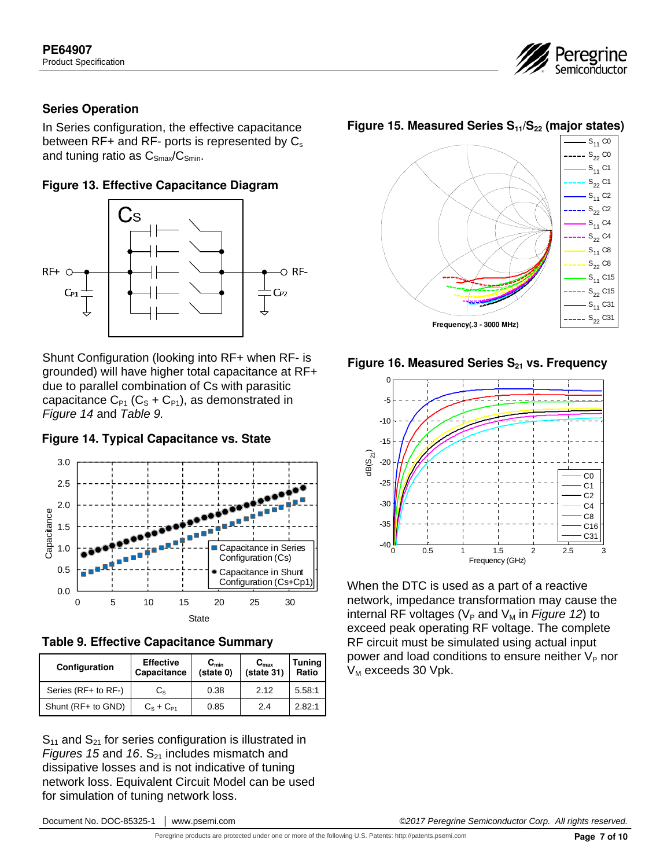

#### **Series Operation**

In Series configuration, the effective capacitance between  $RF+$  and  $RF-$  ports is represented by  $C_s$ and tuning ratio as  $C_{\text{Smax}}/C_{\text{Smin}}$ .

#### **Figure 13. Effective Capacitance Diagram**



Shunt Configuration (looking into RF+ when RF- is grounded) will have higher total capacitance at RF+ due to parallel combination of Cs with parasitic capacitance  $C_{P1}$  ( $C_S + C_{P1}$ ), as demonstrated in *Figure 14* and *Table 9.*







| Configuration       | <b>Effective</b><br>Capacitance | $C_{min}$<br>$(s)$ (state 0) | $C_{\text{max}}$<br>(state <sub>31</sub> ) | <b>Tuning</b><br>Ratio |
|---------------------|---------------------------------|------------------------------|--------------------------------------------|------------------------|
| Series (RF+ to RF-) | $\mathsf{C}_{\mathrm{S}}$       | 0.38                         | 2.12                                       | 5.58:1                 |
| Shunt (RF+ to GND)  | $C_8 + C_{P1}$                  | 0.85                         | 2.4                                        | 2.82:1                 |

 $S_{11}$  and  $S_{21}$  for series configuration is illustrated in *Figures 15* and 16.  $S_{21}$  includes mismatch and dissipative losses and is not indicative of tuning network loss. Equivalent Circuit Model can be used for simulation of tuning network loss.

Figure 15. Measured Series S<sub>11</sub>/S<sub>22</sub> (major states)







When the DTC is used as a part of a reactive network, impedance transformation may cause the internal RF voltages ( $V_P$  and  $V_M$  in *Figure 12*) to exceed peak operating RF voltage. The complete RF circuit must be simulated using actual input power and load conditions to ensure neither  $V_P$  nor  $V_M$  exceeds 30 Vpk.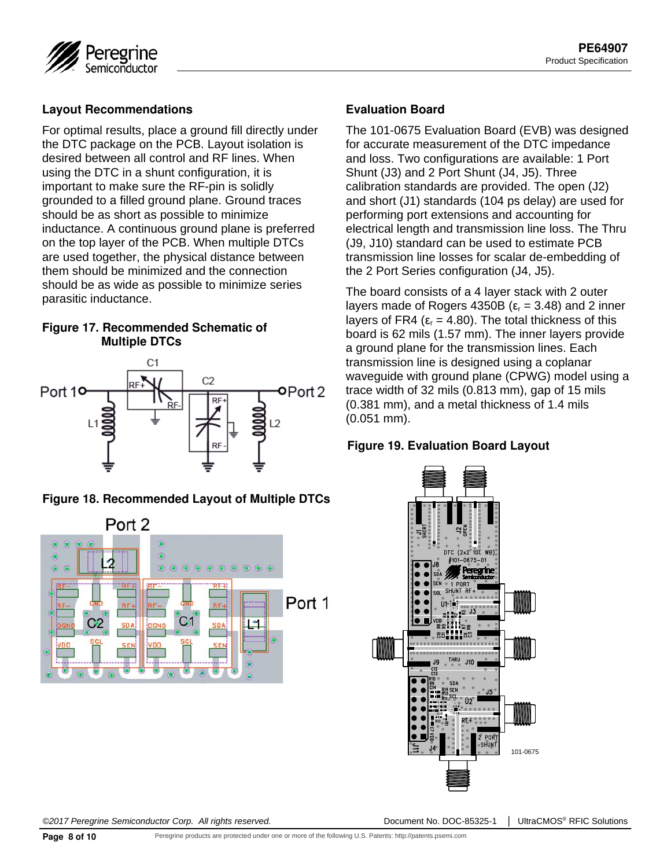

#### **Layout Recommendations**

For optimal results, place a ground fill directly under the DTC package on the PCB. Layout isolation is desired between all control and RF lines. When using the DTC in a shunt configuration, it is important to make sure the RF-pin is solidly grounded to a filled ground plane. Ground traces should be as short as possible to minimize inductance. A continuous ground plane is preferred on the top layer of the PCB. When multiple DTCs are used together, the physical distance between them should be minimized and the connection should be as wide as possible to minimize series parasitic inductance.

#### **Figure 17. Recommended Schematic of Multiple DTCs**



#### **Figure 18. Recommended Layout of Multiple DTCs**



#### **Evaluation Board**

The 101-0675 Evaluation Board (EVB) was designed for accurate measurement of the DTC impedance and loss. Two configurations are available: 1 Port Shunt (J3) and 2 Port Shunt (J4, J5). Three calibration standards are provided. The open (J2) and short (J1) standards (104 ps delay) are used for performing port extensions and accounting for electrical length and transmission line loss. The Thru (J9, J10) standard can be used to estimate PCB transmission line losses for scalar de-embedding of the 2 Port Series configuration (J4, J5).

The board consists of a 4 layer stack with 2 outer layers made of Rogers 4350B ( $ε<sub>r</sub> = 3.48$ ) and 2 inner layers of FR4 ( $ε<sub>r</sub> = 4.80$ ). The total thickness of this board is 62 mils (1.57 mm). The inner layers provide a ground plane for the transmission lines. Each transmission line is designed using a coplanar waveguide with ground plane (CPWG) model using a trace width of 32 mils (0.813 mm), gap of 15 mils (0.381 mm), and a metal thickness of 1.4 mils (0.051 mm).

#### **Figure 19. Evaluation Board Layout**

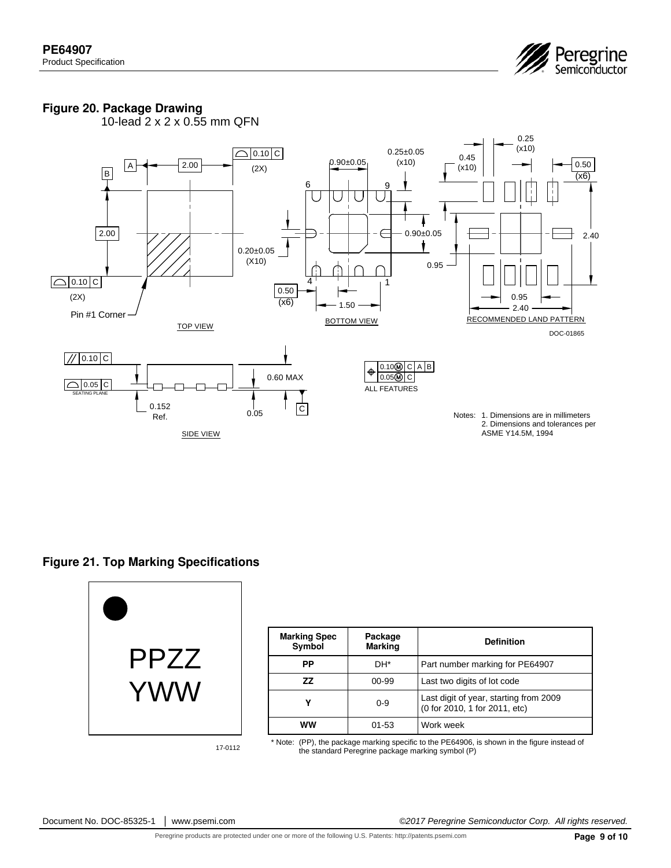

#### **Figure 20. Package Drawing**

10-lead 2 x 2 x 0.55 mm QFN



**Figure 21. Top Marking Specifications** 



| <b>Marking Spec</b><br>Symbol | Package<br><b>Marking</b> | <b>Definition</b>                                                       |  |  |
|-------------------------------|---------------------------|-------------------------------------------------------------------------|--|--|
| РP                            | DH*                       | Part number marking for PE64907                                         |  |  |
| ΖZ                            | $00 - 99$                 | Last two digits of lot code                                             |  |  |
| γ<br>$0 - 9$                  |                           | Last digit of year, starting from 2009<br>(0 for 2010, 1 for 2011, etc) |  |  |
| ww                            | 01-53                     | Work week                                                               |  |  |

17-0112

\* Note: (PP), the package marking specific to the PE64906, is shown in the figure instead of the standard Peregrine package marking symbol (P)